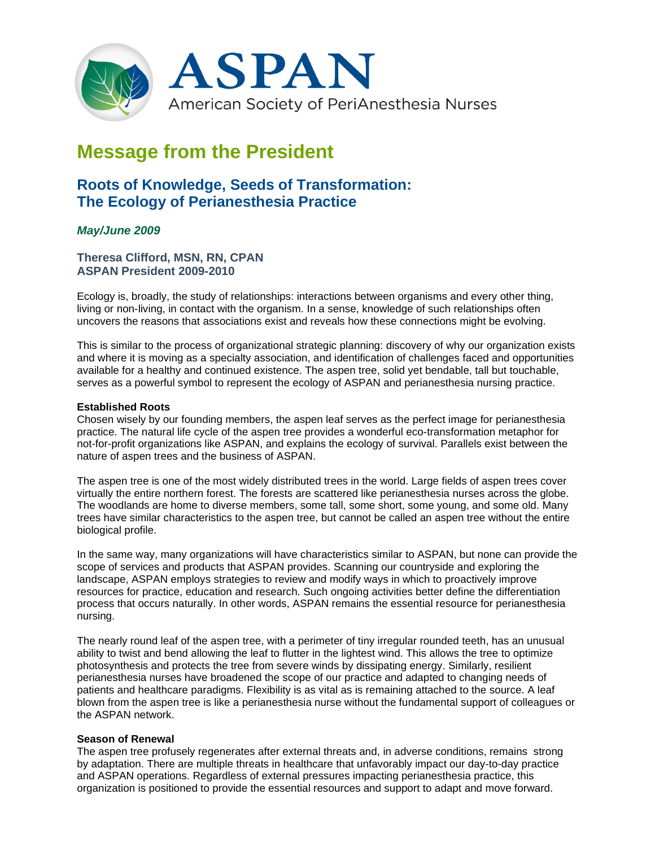

# **Message from the President**

## **Roots of Knowledge, Seeds of Transformation: The Ecology of Perianesthesia Practice**

### *May/June 2009*

**Theresa Clifford, MSN, RN, CPAN ASPAN President 2009-2010**

Ecology is, broadly, the study of relationships: interactions between organisms and every other thing, living or non-living, in contact with the organism. In a sense, knowledge of such relationships often uncovers the reasons that associations exist and reveals how these connections might be evolving.

This is similar to the process of organizational strategic planning: discovery of why our organization exists and where it is moving as a specialty association, and identification of challenges faced and opportunities available for a healthy and continued existence. The aspen tree, solid yet bendable, tall but touchable, serves as a powerful symbol to represent the ecology of ASPAN and perianesthesia nursing practice.

#### **Established Roots**

Chosen wisely by our founding members, the aspen leaf serves as the perfect image for perianesthesia practice. The natural life cycle of the aspen tree provides a wonderful eco-transformation metaphor for not-for-profit organizations like ASPAN, and explains the ecology of survival. Parallels exist between the nature of aspen trees and the business of ASPAN.

The aspen tree is one of the most widely distributed trees in the world. Large fields of aspen trees cover virtually the entire northern forest. The forests are scattered like perianesthesia nurses across the globe. The woodlands are home to diverse members, some tall, some short, some young, and some old. Many trees have similar characteristics to the aspen tree, but cannot be called an aspen tree without the entire biological profile.

In the same way, many organizations will have characteristics similar to ASPAN, but none can provide the scope of services and products that ASPAN provides. Scanning our countryside and exploring the landscape, ASPAN employs strategies to review and modify ways in which to proactively improve resources for practice, education and research. Such ongoing activities better define the differentiation process that occurs naturally. In other words, ASPAN remains the essential resource for perianesthesia nursing.

The nearly round leaf of the aspen tree, with a perimeter of tiny irregular rounded teeth, has an unusual ability to twist and bend allowing the leaf to flutter in the lightest wind. This allows the tree to optimize photosynthesis and protects the tree from severe winds by dissipating energy. Similarly, resilient perianesthesia nurses have broadened the scope of our practice and adapted to changing needs of patients and healthcare paradigms. Flexibility is as vital as is remaining attached to the source. A leaf blown from the aspen tree is like a perianesthesia nurse without the fundamental support of colleagues or the ASPAN network.

#### **Season of Renewal**

The aspen tree profusely regenerates after external threats and, in adverse conditions, remains strong by adaptation. There are multiple threats in healthcare that unfavorably impact our day-to-day practice and ASPAN operations. Regardless of external pressures impacting perianesthesia practice, this organization is positioned to provide the essential resources and support to adapt and move forward.